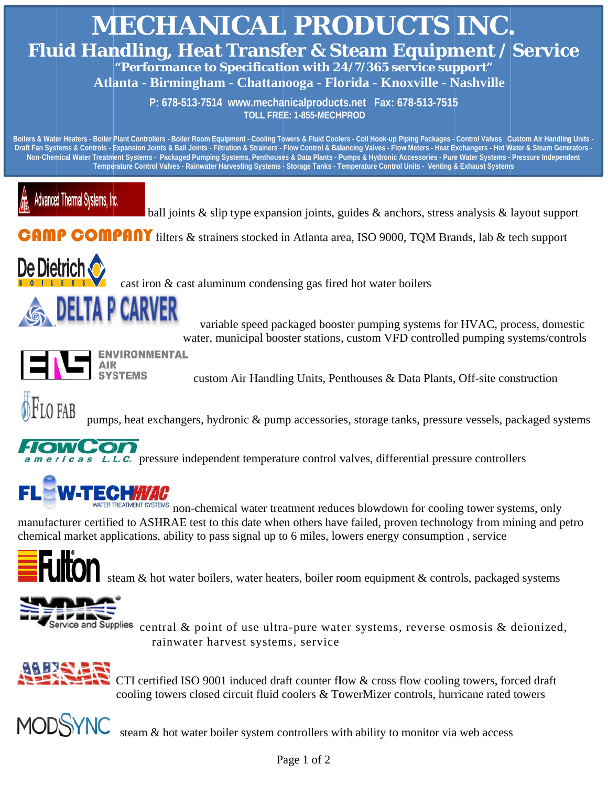

chemical market applications, ability to pass signal up to 6 miles, lowers energy consumption, service



steam & hot water boilers, water heaters, boiler room equipment & controls, packaged systems



Service and Supplies central & point of use ultra-pure water systems, reverse osmosis & deionized, rainwater harvest systems, service



CTI certified ISO 9001 induced draft counter flow & cross flow cooling towers, forced draft cooling towers closed circuit fluid coolers & TowerMizer controls, hurricane rated towers



steam & hot water boiler system controllers with ability to monitor via web access